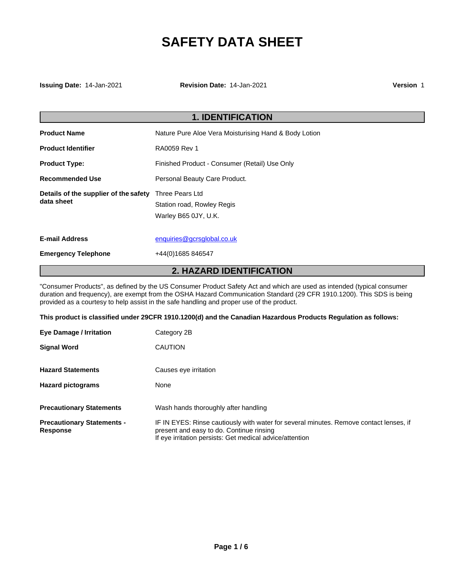# **SAFETY DATA SHEET**

**Issuing Date:** 14-Jan-2021 **Revision Date:** 14-Jan-2021 **Version** 1

| <b>1. IDENTIFICATION</b>                            |                                                                       |
|-----------------------------------------------------|-----------------------------------------------------------------------|
| <b>Product Name</b>                                 | Nature Pure Aloe Vera Moisturising Hand & Body Lotion                 |
| <b>Product Identifier</b>                           | RA0059 Rev 1                                                          |
| <b>Product Type:</b>                                | Finished Product - Consumer (Retail) Use Only                         |
| <b>Recommended Use</b>                              | Personal Beauty Care Product.                                         |
| Details of the supplier of the safety<br>data sheet | Three Pears Ltd<br>Station road, Rowley Regis<br>Warley B65 0JY, U.K. |
| <b>E-mail Address</b>                               | enquiries@gcrsglobal.co.uk                                            |
| <b>Emergency Telephone</b>                          | +44(0)1685 846547                                                     |

## **2. HAZARD IDENTIFICATION**

"Consumer Products", as defined by the US Consumer Product Safety Act and which are used as intended (typical consumer duration and frequency), are exempt from the OSHA Hazard Communication Standard (29 CFR 1910.1200). This SDS is being provided as a courtesy to help assist in the safe handling and proper use of the product.

**This product is classified under 29CFR 1910.1200(d) and the Canadian Hazardous Products Regulation as follows:** 

| Eye Damage / Irritation                              | Category 2B                                                                                                                                                                                    |
|------------------------------------------------------|------------------------------------------------------------------------------------------------------------------------------------------------------------------------------------------------|
| <b>Signal Word</b>                                   | <b>CAUTION</b>                                                                                                                                                                                 |
| <b>Hazard Statements</b>                             | Causes eye irritation                                                                                                                                                                          |
| <b>Hazard pictograms</b>                             | None                                                                                                                                                                                           |
| <b>Precautionary Statements</b>                      | Wash hands thoroughly after handling                                                                                                                                                           |
| <b>Precautionary Statements -</b><br><b>Response</b> | IF IN EYES: Rinse cautiously with water for several minutes. Remove contact lenses, if<br>present and easy to do. Continue rinsing<br>If eye irritation persists: Get medical advice/attention |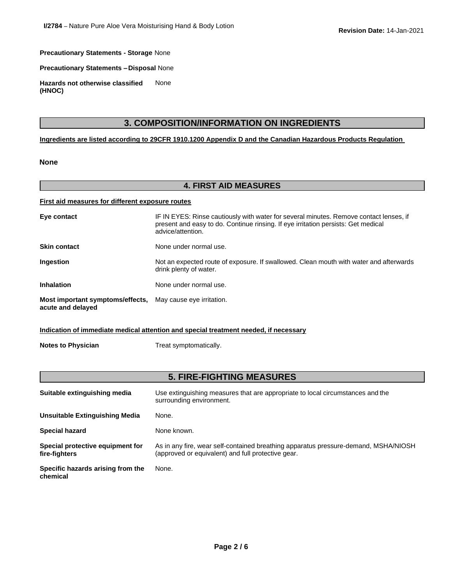**Precautionary Statements - Storage** None

**Precautionary Statements –Disposal** None

**Hazards not otherwise classified (HNOC)** None

## **3. COMPOSITION/INFORMATION ON INGREDIENTS**

**Ingredients are listed according to 29CFR 1910.1200 Appendix D and the Canadian Hazardous Products Regulation** 

#### **None**

#### **4. FIRST AID MEASURES**

#### **First aid measures for different exposure routes**

| Eye contact                                           | IF IN EYES: Rinse cautiously with water for several minutes. Remove contact lenses, if<br>present and easy to do. Continue rinsing. If eye irritation persists: Get medical<br>advice/attention. |
|-------------------------------------------------------|--------------------------------------------------------------------------------------------------------------------------------------------------------------------------------------------------|
| <b>Skin contact</b>                                   | None under normal use.                                                                                                                                                                           |
| Ingestion                                             | Not an expected route of exposure. If swallowed. Clean mouth with water and afterwards<br>drink plenty of water.                                                                                 |
| <b>Inhalation</b>                                     | None under normal use.                                                                                                                                                                           |
| Most important symptoms/effects,<br>acute and delayed | May cause eye irritation.                                                                                                                                                                        |

#### **Indication of immediate medical attention and special treatment needed, if necessary**

**Notes to Physician** Treat symptomatically.

## **5. FIRE-FIGHTING MEASURES**

| Suitable extinguishing media                      | Use extinguishing measures that are appropriate to local circumstances and the<br>surrounding environment.                                |
|---------------------------------------------------|-------------------------------------------------------------------------------------------------------------------------------------------|
| Unsuitable Extinguishing Media                    | None.                                                                                                                                     |
| <b>Special hazard</b>                             | None known.                                                                                                                               |
| Special protective equipment for<br>fire-fighters | As in any fire, wear self-contained breathing apparatus pressure-demand, MSHA/NIOSH<br>(approved or equivalent) and full protective gear. |
| Specific hazards arising from the<br>chemical     | None.                                                                                                                                     |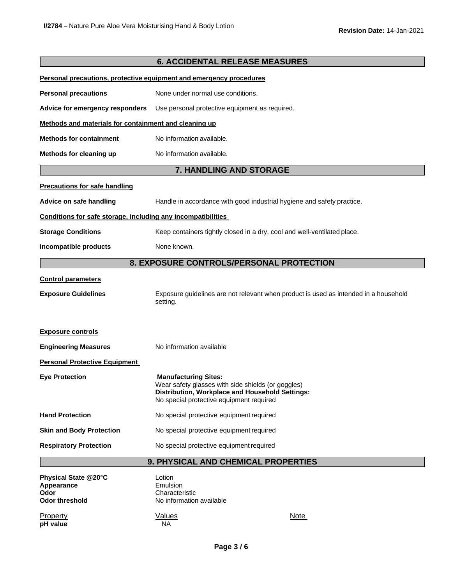|                                                                     | <b>6. ACCIDENTAL RELEASE MEASURES</b>                                                                                                                                            |                                                                                      |
|---------------------------------------------------------------------|----------------------------------------------------------------------------------------------------------------------------------------------------------------------------------|--------------------------------------------------------------------------------------|
| Personal precautions, protective equipment and emergency procedures |                                                                                                                                                                                  |                                                                                      |
| <b>Personal precautions</b>                                         | None under normal use conditions.                                                                                                                                                |                                                                                      |
| Advice for emergency responders                                     | Use personal protective equipment as required.                                                                                                                                   |                                                                                      |
|                                                                     | Methods and materials for containment and cleaning up                                                                                                                            |                                                                                      |
| <b>Methods for containment</b>                                      | No information available.                                                                                                                                                        |                                                                                      |
| Methods for cleaning up                                             | No information available.                                                                                                                                                        |                                                                                      |
|                                                                     | 7. HANDLING AND STORAGE                                                                                                                                                          |                                                                                      |
| <b>Precautions for safe handling</b>                                |                                                                                                                                                                                  |                                                                                      |
| Advice on safe handling                                             |                                                                                                                                                                                  | Handle in accordance with good industrial hygiene and safety practice.               |
| Conditions for safe storage, including any incompatibilities        |                                                                                                                                                                                  |                                                                                      |
| <b>Storage Conditions</b>                                           | Keep containers tightly closed in a dry, cool and well-ventilated place.                                                                                                         |                                                                                      |
| Incompatible products                                               | None known.                                                                                                                                                                      |                                                                                      |
|                                                                     | 8. EXPOSURE CONTROLS/PERSONAL PROTECTION                                                                                                                                         |                                                                                      |
| <b>Control parameters</b>                                           |                                                                                                                                                                                  |                                                                                      |
| <b>Exposure Guidelines</b>                                          | setting.                                                                                                                                                                         | Exposure guidelines are not relevant when product is used as intended in a household |
| <b>Exposure controls</b>                                            |                                                                                                                                                                                  |                                                                                      |
| <b>Engineering Measures</b>                                         | No information available                                                                                                                                                         |                                                                                      |
| <b>Personal Protective Equipment</b>                                |                                                                                                                                                                                  |                                                                                      |
| <b>Eye Protection</b>                                               | <b>Manufacturing Sites:</b><br>Wear safety glasses with side shields (or goggles)<br>Distribution, Workplace and Household Settings:<br>No special protective equipment required |                                                                                      |
| <b>Hand Protection</b>                                              | No special protective equipment required                                                                                                                                         |                                                                                      |
| <b>Skin and Body Protection</b>                                     | No special protective equipment required                                                                                                                                         |                                                                                      |
| <b>Respiratory Protection</b>                                       | No special protective equipment required                                                                                                                                         |                                                                                      |
|                                                                     | 9. PHYSICAL AND CHEMICAL PROPERTIES                                                                                                                                              |                                                                                      |
| Physical State @20°C<br>Appearance<br>Odor<br><b>Odor threshold</b> | Lotion<br>Emulsion<br>Characteristic<br>No information available                                                                                                                 |                                                                                      |
| <b>Property</b>                                                     | <b>Values</b>                                                                                                                                                                    | <u>Note</u>                                                                          |

**pH value** NA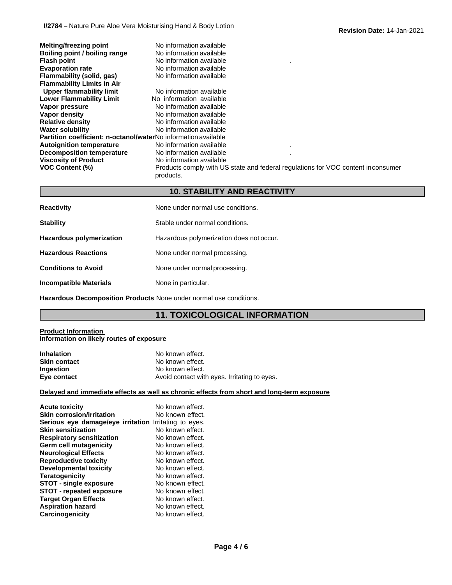| <b>Melting/freezing point</b><br>Boiling point / boiling range<br><b>Flash point</b><br><b>Evaporation rate</b><br>Flammability (solid, gas)<br><b>Flammability Limits in Air</b> | No information available<br>No information available<br>No information available<br>No information available<br>No information available |
|-----------------------------------------------------------------------------------------------------------------------------------------------------------------------------------|------------------------------------------------------------------------------------------------------------------------------------------|
| Upper flammability limit                                                                                                                                                          | No information available                                                                                                                 |
| <b>Lower Flammability Limit</b>                                                                                                                                                   | No information available                                                                                                                 |
| Vapor pressure                                                                                                                                                                    | No information available                                                                                                                 |
| Vapor density                                                                                                                                                                     | No information available                                                                                                                 |
| <b>Relative density</b>                                                                                                                                                           | No information available                                                                                                                 |
| <b>Water solubility</b>                                                                                                                                                           | No information available                                                                                                                 |
| <b>Partition coefficient: n-octanol/waterNo</b> information available                                                                                                             |                                                                                                                                          |
| <b>Autoignition temperature</b>                                                                                                                                                   | No information available                                                                                                                 |
| Decomposition temperature                                                                                                                                                         | No information available                                                                                                                 |
| <b>Viscosity of Product</b><br><b>VOC Content (%)</b>                                                                                                                             | No information available<br>Products comply with US state and federal regulations for VOC content in consumer<br>products.               |

## **10. STABILITY AND REACTIVITY**

| <b>Reactivity</b>               | None under normal use conditions.        |
|---------------------------------|------------------------------------------|
| <b>Stability</b>                | Stable under normal conditions.          |
| <b>Hazardous polymerization</b> | Hazardous polymerization does not occur. |
| <b>Hazardous Reactions</b>      | None under normal processing.            |
| <b>Conditions to Avoid</b>      | None under normal processing.            |
| <b>Incompatible Materials</b>   | None in particular.                      |

**Hazardous Decomposition Products** None under normal use conditions.

## **11. TOXICOLOGICAL INFORMATION**

#### **Product Information Information on likely routes of exposure**

| <b>Inhalation</b> | No known effect.                             |
|-------------------|----------------------------------------------|
| Skin contact      | No known effect.                             |
| Ingestion         | No known effect.                             |
| Eye contact       | Avoid contact with eyes. Irritating to eyes. |

#### **Delayed and immediate effects as well as chronic effects from short and long-term exposure**

| <b>Acute toxicity</b>                                        | No known effect. |
|--------------------------------------------------------------|------------------|
| <b>Skin corrosion/irritation</b>                             | No known effect. |
| <b>Serious eye damage/eye irritation Irritating to eyes.</b> |                  |
| <b>Skin sensitization</b>                                    | No known effect. |
| <b>Respiratory sensitization</b>                             | No known effect. |
| Germ cell mutagenicity                                       | No known effect. |
| <b>Neurological Effects</b>                                  | No known effect. |
| <b>Reproductive toxicity</b>                                 | No known effect. |
| <b>Developmental toxicity</b>                                | No known effect. |
| <b>Teratogenicity</b>                                        | No known effect. |
| <b>STOT - single exposure</b>                                | No known effect. |
| <b>STOT - repeated exposure</b>                              | No known effect. |
| <b>Target Organ Effects</b>                                  | No known effect. |
| <b>Aspiration hazard</b>                                     | No known effect. |
| <b>Carcinogenicity</b>                                       | No known effect. |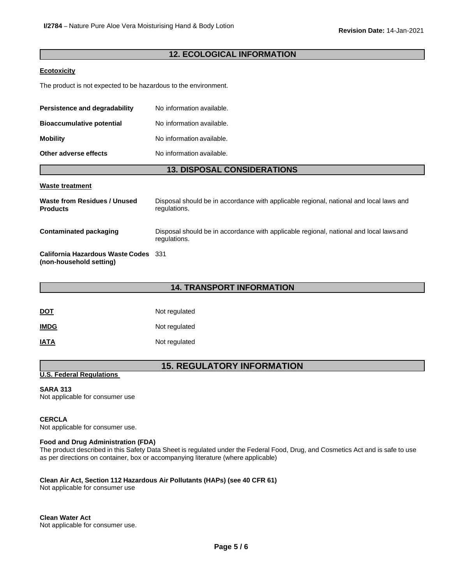#### **12. ECOLOGICAL INFORMATION**

#### **Ecotoxicity**

The product is not expected to be hazardous to the environment.

| Persistence and degradability    | No information available. |
|----------------------------------|---------------------------|
| <b>Bioaccumulative potential</b> | No information available. |
| <b>Mobility</b>                  | No information available. |
| Other adverse effects            | No information available. |

#### **13. DISPOSAL CONSIDERATIONS**

#### **Waste treatment**

| Waste from Residues / Unused<br><b>Products</b>                 | Disposal should be in accordance with applicable regional, national and local laws and<br>regulations. |
|-----------------------------------------------------------------|--------------------------------------------------------------------------------------------------------|
| Contaminated packaging                                          | Disposal should be in accordance with applicable regional, national and local laws and<br>regulations. |
| California Hazardous Waste Codes 331<br>(non-household setting) |                                                                                                        |

#### **14. TRANSPORT INFORMATION**

| <u>DOT</u>  | Not regulated |  |
|-------------|---------------|--|
| <b>IMDG</b> | Not regulated |  |
| <b>IATA</b> | Not regulated |  |

## **15. REGULATORY INFORMATION**

#### **U.S. Federal Regulations**

#### **SARA 313**

Not applicable for consumer use

#### **CERCLA**

Not applicable for consumer use.

#### **Food and Drug Administration (FDA)**

The product described in this Safety Data Sheet is regulated under the Federal Food, Drug, and Cosmetics Act and is safe to use as per directions on container, box or accompanying literature (where applicable)

#### **Clean Air Act, Section 112 Hazardous Air Pollutants (HAPs) (see 40 CFR 61)**

Not applicable for consumer use

**Clean Water Act** Not applicable for consumer use.